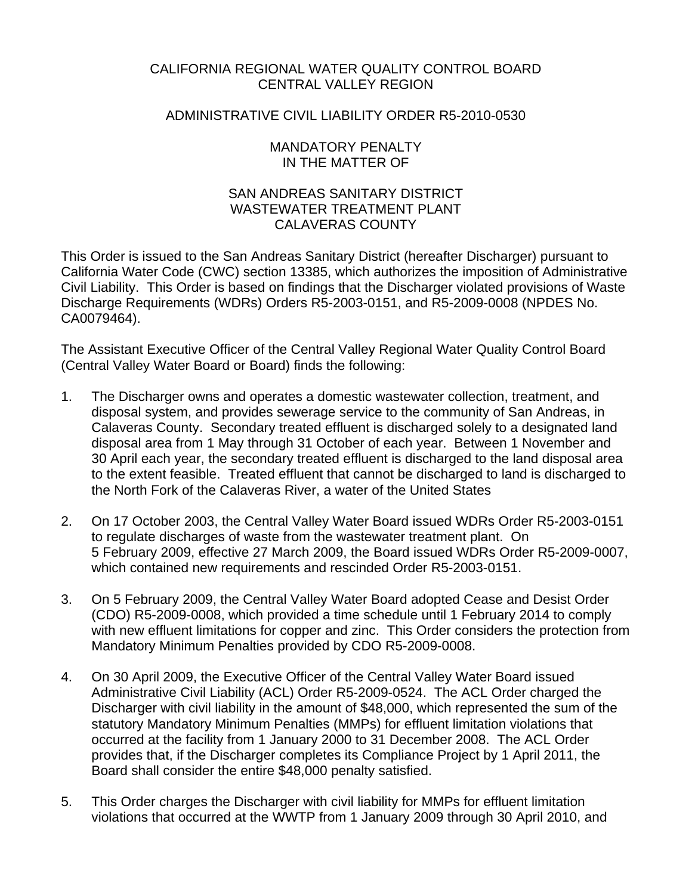## CALIFORNIA REGIONAL WATER QUALITY CONTROL BOARD CENTRAL VALLEY REGION

## ADMINISTRATIVE CIVIL LIABILITY ORDER R5-2010-0530

## MANDATORY PENALTY IN THE MATTER OF

## SAN ANDREAS SANITARY DISTRICT WASTEWATER TREATMENT PI ANT CALAVERAS COUNTY

This Order is issued to the San Andreas Sanitary District (hereafter Discharger) pursuant to California Water Code (CWC) section 13385, which authorizes the imposition of Administrative Civil Liability. This Order is based on findings that the Discharger violated provisions of Waste Discharge Requirements (WDRs) Orders R5-2003-0151, and R5-2009-0008 (NPDES No. CA0079464).

The Assistant Executive Officer of the Central Valley Regional Water Quality Control Board (Central Valley Water Board or Board) finds the following:

- 1. The Discharger owns and operates a domestic wastewater collection, treatment, and disposal system, and provides sewerage service to the community of San Andreas, in Calaveras County. Secondary treated effluent is discharged solely to a designated land disposal area from 1 May through 31 October of each year. Between 1 November and 30 April each year, the secondary treated effluent is discharged to the land disposal area to the extent feasible. Treated effluent that cannot be discharged to land is discharged to the North Fork of the Calaveras River, a water of the United States
- 2. On 17 October 2003, the Central Valley Water Board issued WDRs Order R5-2003-0151 to regulate discharges of waste from the wastewater treatment plant. On 5 February 2009, effective 27 March 2009, the Board issued WDRs Order R5-2009-0007, which contained new requirements and rescinded Order R5-2003-0151.
- 3. On 5 February 2009, the Central Valley Water Board adopted Cease and Desist Order (CDO) R5-2009-0008, which provided a time schedule until 1 February 2014 to comply with new effluent limitations for copper and zinc. This Order considers the protection from Mandatory Minimum Penalties provided by CDO R5-2009-0008.
- 4. On 30 April 2009, the Executive Officer of the Central Valley Water Board issued Administrative Civil Liability (ACL) Order R5-2009-0524. The ACL Order charged the Discharger with civil liability in the amount of \$48,000, which represented the sum of the statutory Mandatory Minimum Penalties (MMPs) for effluent limitation violations that occurred at the facility from 1 January 2000 to 31 December 2008. The ACL Order provides that, if the Discharger completes its Compliance Project by 1 April 2011, the Board shall consider the entire \$48,000 penalty satisfied.
- 5. This Order charges the Discharger with civil liability for MMPs for effluent limitation violations that occurred at the WWTP from 1 January 2009 through 30 April 2010, and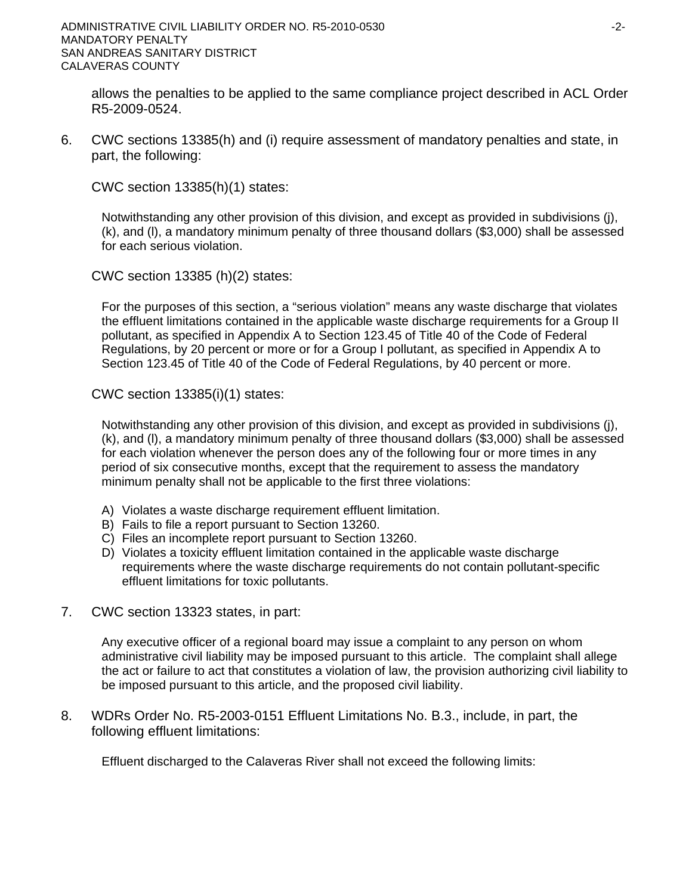allows the penalties to be applied to the same compliance project described in ACL Order R5-2009-0524.

6. CWC sections 13385(h) and (i) require assessment of mandatory penalties and state, in part, the following:

CWC section 13385(h)(1) states:

Notwithstanding any other provision of this division, and except as provided in subdivisions (j), (k), and (l), a mandatory minimum penalty of three thousand dollars (\$3,000) shall be assessed for each serious violation.

CWC section 13385 (h)(2) states:

For the purposes of this section, a "serious violation" means any waste discharge that violates the effluent limitations contained in the applicable waste discharge requirements for a Group II pollutant, as specified in Appendix A to Section 123.45 of Title 40 of the Code of Federal Regulations, by 20 percent or more or for a Group I pollutant, as specified in Appendix A to Section 123.45 of Title 40 of the Code of Federal Regulations, by 40 percent or more.

CWC section 13385(i)(1) states:

Notwithstanding any other provision of this division, and except as provided in subdivisions (j), (k), and (l), a mandatory minimum penalty of three thousand dollars (\$3,000) shall be assessed for each violation whenever the person does any of the following four or more times in any period of six consecutive months, except that the requirement to assess the mandatory minimum penalty shall not be applicable to the first three violations:

- A) Violates a waste discharge requirement effluent limitation.
- B) Fails to file a report pursuant to Section 13260.
- C) Files an incomplete report pursuant to Section 13260.
- D) Violates a toxicity effluent limitation contained in the applicable waste discharge requirements where the waste discharge requirements do not contain pollutant-specific effluent limitations for toxic pollutants.
- 7. CWC section 13323 states, in part:

Any executive officer of a regional board may issue a complaint to any person on whom administrative civil liability may be imposed pursuant to this article. The complaint shall allege the act or failure to act that constitutes a violation of law, the provision authorizing civil liability to be imposed pursuant to this article, and the proposed civil liability.

8. WDRs Order No. R5-2003-0151 Effluent Limitations No. B.3., include, in part, the following effluent limitations:

Effluent discharged to the Calaveras River shall not exceed the following limits: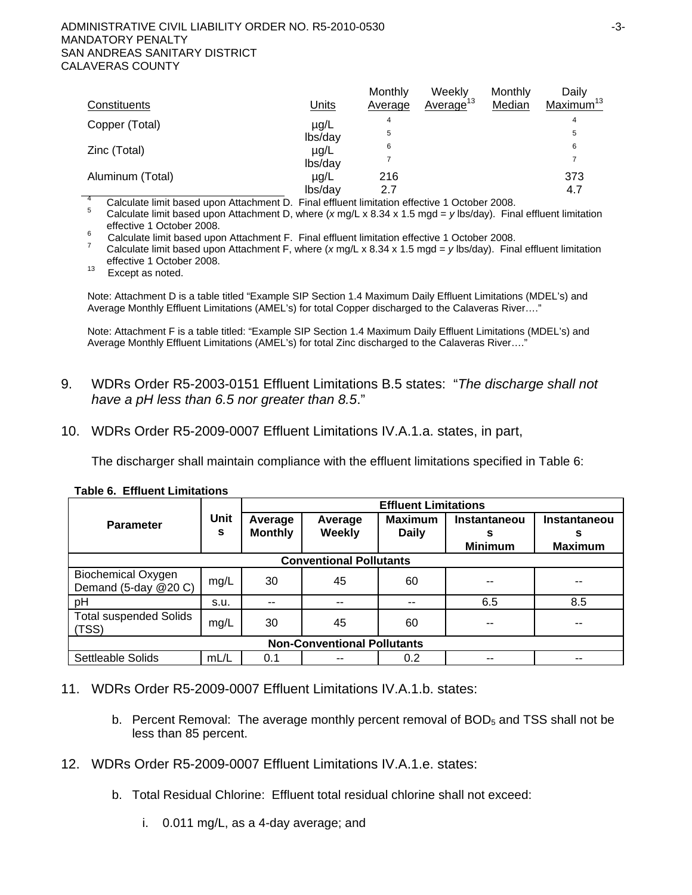| Constituents                             | <b>Units</b> | Monthly<br>Average | Weekly<br>Average <sup>13</sup>                    | Monthly<br>Median | Dailv<br>Maximum <sup>13</sup> |
|------------------------------------------|--------------|--------------------|----------------------------------------------------|-------------------|--------------------------------|
| Copper (Total)                           | $\mu$ g/L    | 4                  |                                                    |                   | 4                              |
|                                          | lbs/day      | 5                  |                                                    |                   | 5                              |
| Zinc (Total)                             | $\mu$ g/L    | 6                  |                                                    |                   | 6                              |
|                                          | lbs/day      |                    |                                                    |                   |                                |
| Aluminum (Total)                         | $\mu$ g/L    | 216                |                                                    |                   | 373                            |
|                                          | lbs/day      | 2.7                |                                                    |                   | 4.7                            |
| Coloulate limit begaad upon Attachment D |              |                    | Final effluent limitation effective 1 October 2008 |                   |                                |

<sup>4</sup> Calculate limit based upon Attachment D. Final effluent limitation effective 1 October 2008.<br><sup>5</sup> Calculate limit based upon Attachment D, where (*x* mg/L x 8.34 x 1.5 mgd = *y* lbs/day). Final effluent limita

effective 1 October 2008.

Calculate limit based upon Attachment F. Final effluent limitation effective 1 October 2008.

 Calculate limit based upon Attachment F, where (*x* mg/L x 8.34 x 1.5 mgd = *y* lbs/day). Final effluent limitation effective 1 October 2008.<br><sup>13</sup> Except as noted.

Note: Attachment D is a table titled "Example SIP Section 1.4 Maximum Daily Effluent Limitations (MDEL's) and Average Monthly Effluent Limitations (AMEL's) for total Copper discharged to the Calaveras River…."

Note: Attachment F is a table titled: "Example SIP Section 1.4 Maximum Daily Effluent Limitations (MDEL's) and Average Monthly Effluent Limitations (AMEL's) for total Zinc discharged to the Calaveras River…."

- 9. WDRs Order R5-2003-0151 Effluent Limitations B.5 states: "*The discharge shall not have a pH less than 6.5 nor greater than 8.5*."
- 10. WDRs Order R5-2009-0007 Effluent Limitations IV.A.1.a. states, in part,

The discharger shall maintain compliance with the effluent limitations specified in Table 6:

|                                                   |           | <b>Effluent Limitations</b> |                          |                                |                                     |                                     |
|---------------------------------------------------|-----------|-----------------------------|--------------------------|--------------------------------|-------------------------------------|-------------------------------------|
| <b>Parameter</b>                                  | Unit<br>s | Average<br><b>Monthly</b>   | Average<br><b>Weekly</b> | <b>Maximum</b><br><b>Daily</b> | Instantaneou<br>s<br><b>Minimum</b> | Instantaneou<br>s<br><b>Maximum</b> |
| <b>Conventional Pollutants</b>                    |           |                             |                          |                                |                                     |                                     |
| <b>Biochemical Oxygen</b><br>Demand (5-day @20 C) | mg/L      | 30                          | 45                       | 60                             |                                     |                                     |
| pH                                                | s.u.      | --                          | $-$                      | --                             | 6.5                                 | 8.5                                 |
| <b>Total suspended Solids</b><br>(TSS)            | mg/L      | 30                          | 45                       | 60                             | --                                  | --                                  |
| <b>Non-Conventional Pollutants</b>                |           |                             |                          |                                |                                     |                                     |
| Settleable Solids                                 | mL/L      | 0.1                         | --                       | 0.2                            | --                                  |                                     |

### **Table 6. Effluent Limitations**

11. WDRs Order R5-2009-0007 Effluent Limitations IV.A.1.b. states:

- b. Percent Removal: The average monthly percent removal of  $BOD<sub>5</sub>$  and TSS shall not be less than 85 percent.
- 12. WDRs Order R5-2009-0007 Effluent Limitations IV.A.1.e. states:
	- b. Total Residual Chlorine: Effluent total residual chlorine shall not exceed:
		- i. 0.011 mg/L, as a 4-day average; and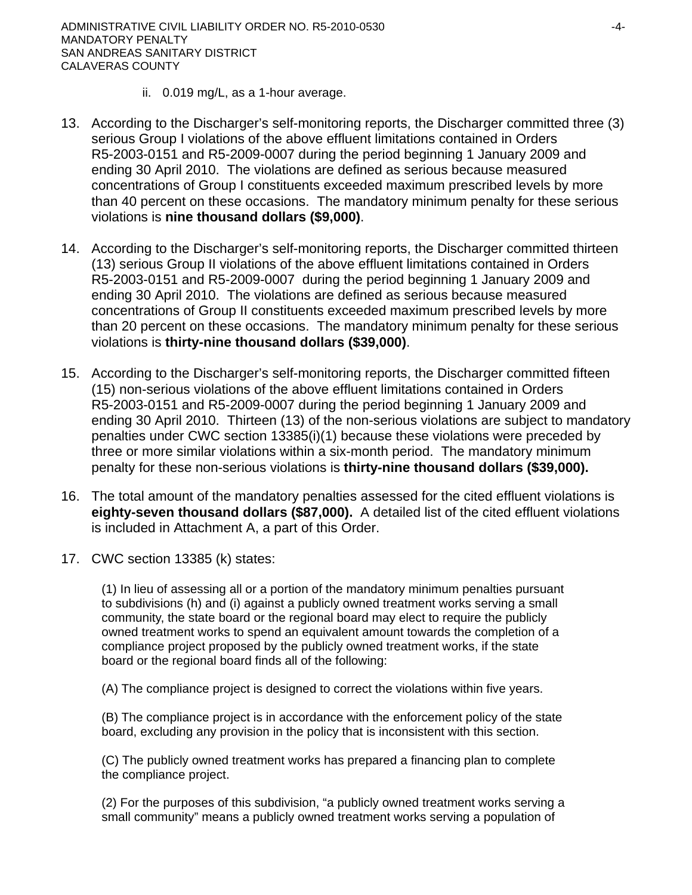ADMINISTRATIVE CIVIL LIABILITY ORDER NO. R5-2010-0530  $-4$ -MANDATORY PENALTY SAN ANDREAS SANITARY DISTRICT CALAVERAS COUNTY

- ii. 0.019 mg/L, as a 1-hour average.
- 13. According to the Discharger's self-monitoring reports, the Discharger committed three (3) serious Group I violations of the above effluent limitations contained in Orders R5-2003-0151 and R5-2009-0007 during the period beginning 1 January 2009 and ending 30 April 2010. The violations are defined as serious because measured concentrations of Group I constituents exceeded maximum prescribed levels by more than 40 percent on these occasions. The mandatory minimum penalty for these serious violations is **nine thousand dollars (\$9,000)**.
- 14. According to the Discharger's self-monitoring reports, the Discharger committed thirteen (13) serious Group II violations of the above effluent limitations contained in Orders R5-2003-0151 and R5-2009-0007 during the period beginning 1 January 2009 and ending 30 April 2010. The violations are defined as serious because measured concentrations of Group II constituents exceeded maximum prescribed levels by more than 20 percent on these occasions. The mandatory minimum penalty for these serious violations is **thirty-nine thousand dollars (\$39,000)**.
- 15. According to the Discharger's self-monitoring reports, the Discharger committed fifteen (15) non-serious violations of the above effluent limitations contained in Orders R5-2003-0151 and R5-2009-0007 during the period beginning 1 January 2009 and ending 30 April 2010. Thirteen (13) of the non-serious violations are subject to mandatory penalties under CWC section 13385(i)(1) because these violations were preceded by three or more similar violations within a six-month period. The mandatory minimum penalty for these non-serious violations is **thirty-nine thousand dollars (\$39,000).**
- 16. The total amount of the mandatory penalties assessed for the cited effluent violations is **eighty-seven thousand dollars (\$87,000).** A detailed list of the cited effluent violations is included in Attachment A, a part of this Order.
- 17. CWC section 13385 (k) states:

(1) In lieu of assessing all or a portion of the mandatory minimum penalties pursuant to subdivisions (h) and (i) against a publicly owned treatment works serving a small community, the state board or the regional board may elect to require the publicly owned treatment works to spend an equivalent amount towards the completion of a compliance project proposed by the publicly owned treatment works, if the state board or the regional board finds all of the following:

(A) The compliance project is designed to correct the violations within five years.

(B) The compliance project is in accordance with the enforcement policy of the state board, excluding any provision in the policy that is inconsistent with this section.

(C) The publicly owned treatment works has prepared a financing plan to complete the compliance project.

(2) For the purposes of this subdivision, "a publicly owned treatment works serving a small community" means a publicly owned treatment works serving a population of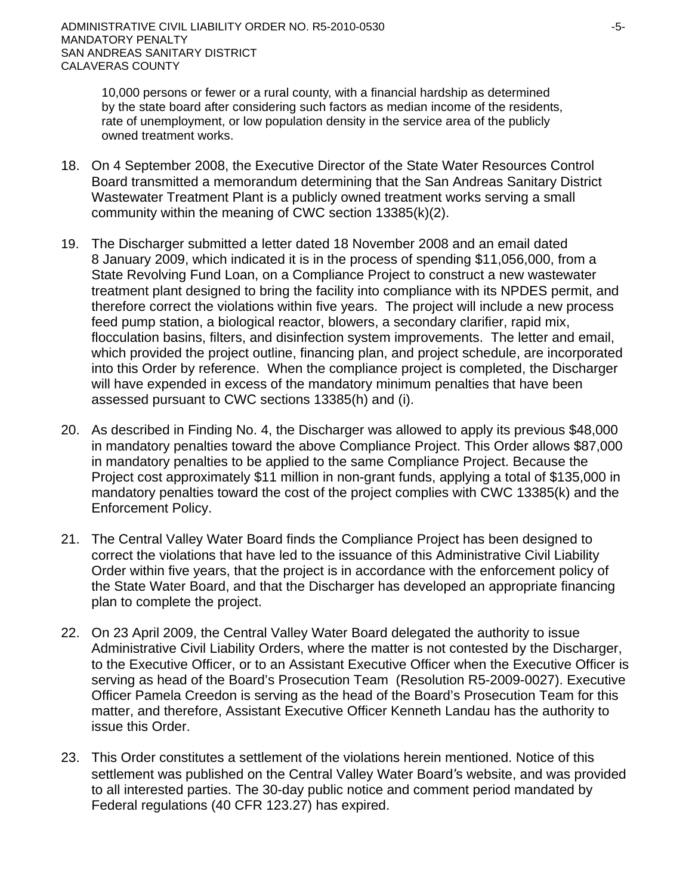10,000 persons or fewer or a rural county, with a financial hardship as determined by the state board after considering such factors as median income of the residents, rate of unemployment, or low population density in the service area of the publicly owned treatment works.

- 18. On 4 September 2008, the Executive Director of the State Water Resources Control Board transmitted a memorandum determining that the San Andreas Sanitary District Wastewater Treatment Plant is a publicly owned treatment works serving a small community within the meaning of CWC section 13385(k)(2).
- 19. The Discharger submitted a letter dated 18 November 2008 and an email dated 8 January 2009, which indicated it is in the process of spending \$11,056,000, from a State Revolving Fund Loan, on a Compliance Project to construct a new wastewater treatment plant designed to bring the facility into compliance with its NPDES permit, and therefore correct the violations within five years. The project will include a new process feed pump station, a biological reactor, blowers, a secondary clarifier, rapid mix, flocculation basins, filters, and disinfection system improvements. The letter and email, which provided the project outline, financing plan, and project schedule, are incorporated into this Order by reference. When the compliance project is completed, the Discharger will have expended in excess of the mandatory minimum penalties that have been assessed pursuant to CWC sections 13385(h) and (i).
- 20. As described in Finding No. 4, the Discharger was allowed to apply its previous \$48,000 in mandatory penalties toward the above Compliance Project. This Order allows \$87,000 in mandatory penalties to be applied to the same Compliance Project. Because the Project cost approximately \$11 million in non-grant funds, applying a total of \$135,000 in mandatory penalties toward the cost of the project complies with CWC 13385(k) and the Enforcement Policy.
- 21. The Central Valley Water Board finds the Compliance Project has been designed to correct the violations that have led to the issuance of this Administrative Civil Liability Order within five years, that the project is in accordance with the enforcement policy of the State Water Board, and that the Discharger has developed an appropriate financing plan to complete the project.
- 22. On 23 April 2009, the Central Valley Water Board delegated the authority to issue Administrative Civil Liability Orders, where the matter is not contested by the Discharger, to the Executive Officer, or to an Assistant Executive Officer when the Executive Officer is serving as head of the Board's Prosecution Team (Resolution R5-2009-0027). Executive Officer Pamela Creedon is serving as the head of the Board's Prosecution Team for this matter, and therefore, Assistant Executive Officer Kenneth Landau has the authority to issue this Order.
- 23. This Order constitutes a settlement of the violations herein mentioned. Notice of this settlement was published on the Central Valley Water Board's website, and was provided to all interested parties. The 30-day public notice and comment period mandated by Federal regulations (40 CFR 123.27) has expired.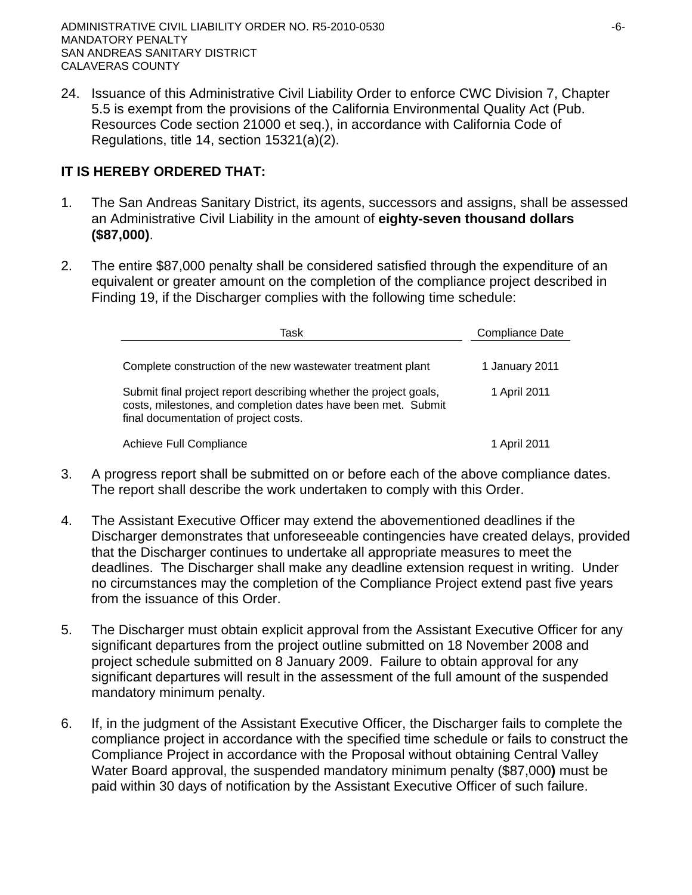ADMINISTRATIVE CIVIL LIABILITY ORDER NO. R5-2010-0530  $-6$ -MANDATORY PENALTY SAN ANDREAS SANITARY DISTRICT CALAVERAS COUNTY

24. Issuance of this Administrative Civil Liability Order to enforce CWC Division 7, Chapter 5.5 is exempt from the provisions of the California Environmental Quality Act (Pub. Resources Code section 21000 et seq.), in accordance with California Code of Regulations, title 14, section 15321(a)(2).

# **IT IS HEREBY ORDERED THAT:**

- 1. The San Andreas Sanitary District, its agents, successors and assigns, shall be assessed an Administrative Civil Liability in the amount of **eighty-seven thousand dollars (\$87,000)**.
- 2. The entire \$87,000 penalty shall be considered satisfied through the expenditure of an equivalent or greater amount on the completion of the compliance project described in Finding 19, if the Discharger complies with the following time schedule:

| Task                                                                                                                                                                        | Compliance Date |  |  |
|-----------------------------------------------------------------------------------------------------------------------------------------------------------------------------|-----------------|--|--|
| Complete construction of the new wastewater treatment plant                                                                                                                 | 1 January 2011  |  |  |
| Submit final project report describing whether the project goals,<br>costs, milestones, and completion dates have been met. Submit<br>final documentation of project costs. | 1 April 2011    |  |  |
| Achieve Full Compliance                                                                                                                                                     | 1 April 2011    |  |  |

- 3. A progress report shall be submitted on or before each of the above compliance dates. The report shall describe the work undertaken to comply with this Order.
- 4. The Assistant Executive Officer may extend the abovementioned deadlines if the Discharger demonstrates that unforeseeable contingencies have created delays, provided that the Discharger continues to undertake all appropriate measures to meet the deadlines. The Discharger shall make any deadline extension request in writing. Under no circumstances may the completion of the Compliance Project extend past five years from the issuance of this Order.
- 5. The Discharger must obtain explicit approval from the Assistant Executive Officer for any significant departures from the project outline submitted on 18 November 2008 and project schedule submitted on 8 January 2009. Failure to obtain approval for any significant departures will result in the assessment of the full amount of the suspended mandatory minimum penalty.
- 6. If, in the judgment of the Assistant Executive Officer, the Discharger fails to complete the compliance project in accordance with the specified time schedule or fails to construct the Compliance Project in accordance with the Proposal without obtaining Central Valley Water Board approval, the suspended mandatory minimum penalty (\$87,000**)** must be paid within 30 days of notification by the Assistant Executive Officer of such failure.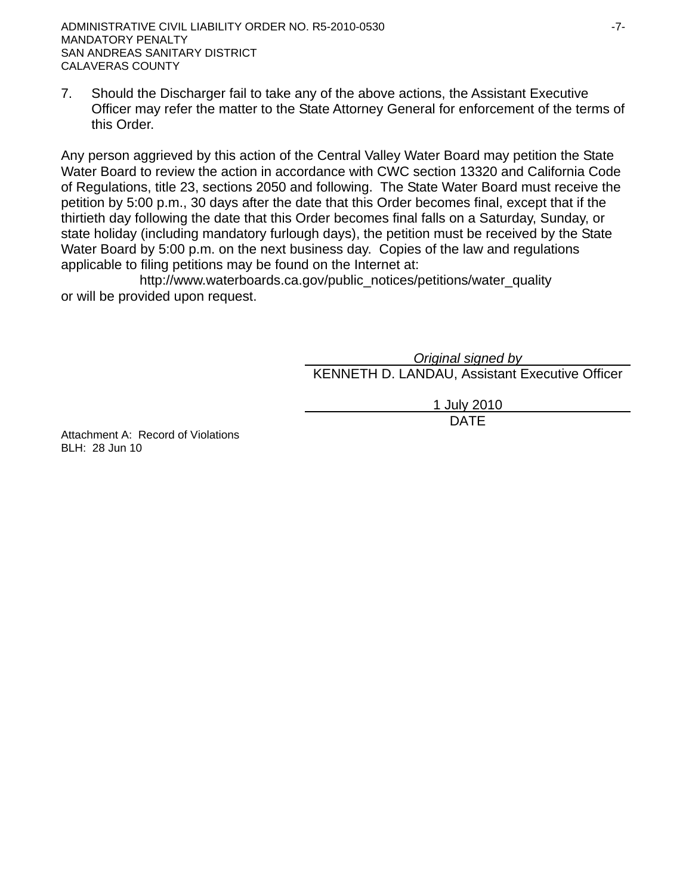7. Should the Discharger fail to take any of the above actions, the Assistant Executive Officer may refer the matter to the State Attorney General for enforcement of the terms of this Order.

Any person aggrieved by this action of the Central Valley Water Board may petition the State Water Board to review the action in accordance with CWC section 13320 and California Code of Regulations, title 23, sections 2050 and following. The State Water Board must receive the petition by 5:00 p.m., 30 days after the date that this Order becomes final, except that if the thirtieth day following the date that this Order becomes final falls on a Saturday, Sunday, or state holiday (including mandatory furlough days), the petition must be received by the State Water Board by 5:00 p.m. on the next business day. Copies of the law and regulations applicable to filing petitions may be found on the Internet at:

http://www.waterboards.ca.gov/public\_notices/petitions/water\_quality or will be provided upon request.

> *Original signed by* KENNETH D. LANDAU, Assistant Executive Officer

1 July 2010 design and the contract of the contract of the DATE of the contract of the contract of the contract of the contract of the contract of the contract of the contract of the contract of the contract of the contract of the con

Attachment A: Record of Violations BLH: 28 Jun 10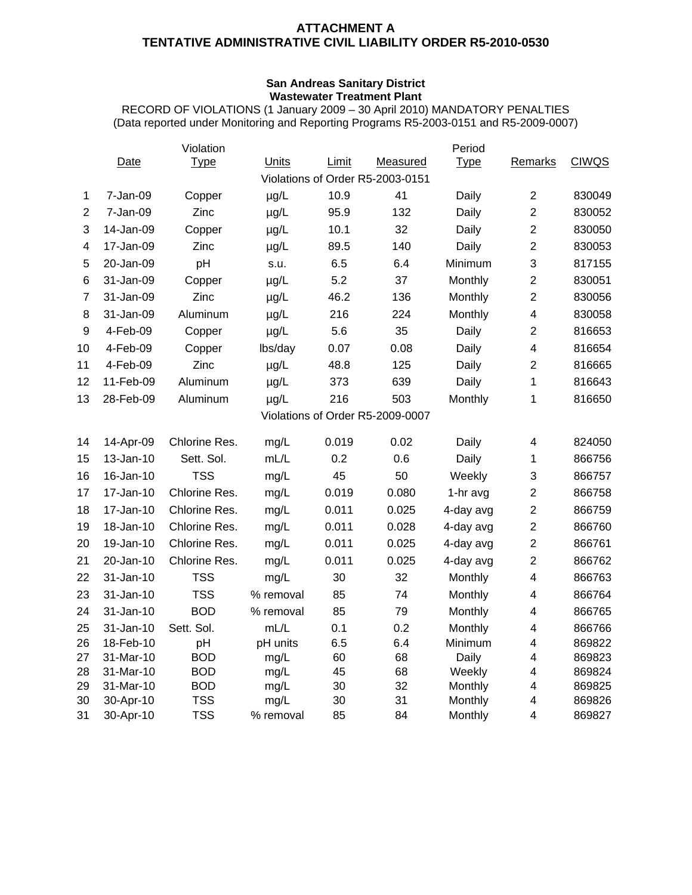### **ATTACHMENT A TENTATIVE ADMINISTRATIVE CIVIL LIABILITY ORDER R5-2010-0530**

### **San Andreas Sanitary District Wastewater Treatment Plant**

RECORD OF VIOLATIONS (1 January 2009 – 30 April 2010) MANDATORY PENALTIES (Data reported under Monitoring and Reporting Programs R5-2003-0151 and R5-2009-0007)

|                |           | Violation     |              |       |                                  | Period      |                         |              |
|----------------|-----------|---------------|--------------|-------|----------------------------------|-------------|-------------------------|--------------|
|                | Date      | <b>Type</b>   | <b>Units</b> | Limit | Measured                         | <b>Type</b> | Remarks                 | <b>CIWQS</b> |
|                |           |               |              |       | Violations of Order R5-2003-0151 |             |                         |              |
| 1              | 7-Jan-09  | Copper        | $\mu$ g/L    | 10.9  | 41                               | Daily       | $\overline{2}$          | 830049       |
| $\overline{2}$ | 7-Jan-09  | Zinc          | $\mu$ g/L    | 95.9  | 132                              | Daily       | $\overline{2}$          | 830052       |
| 3              | 14-Jan-09 | Copper        | $\mu$ g/L    | 10.1  | 32                               | Daily       | $\overline{2}$          | 830050       |
| 4              | 17-Jan-09 | Zinc          | $\mu$ g/L    | 89.5  | 140                              | Daily       | $\overline{2}$          | 830053       |
| 5              | 20-Jan-09 | pH            | s.u.         | 6.5   | 6.4                              | Minimum     | 3                       | 817155       |
| 6              | 31-Jan-09 | Copper        | $\mu$ g/L    | 5.2   | 37                               | Monthly     | $\overline{2}$          | 830051       |
| $\overline{7}$ | 31-Jan-09 | Zinc          | $\mu$ g/L    | 46.2  | 136                              | Monthly     | $\overline{2}$          | 830056       |
| 8              | 31-Jan-09 | Aluminum      | $\mu$ g/L    | 216   | 224                              | Monthly     | $\overline{\mathbf{4}}$ | 830058       |
| 9              | 4-Feb-09  | Copper        | $\mu$ g/L    | 5.6   | 35                               | Daily       | $\overline{2}$          | 816653       |
| 10             | 4-Feb-09  | Copper        | lbs/day      | 0.07  | 0.08                             | Daily       | $\overline{\mathbf{4}}$ | 816654       |
| 11             | 4-Feb-09  | Zinc          | $\mu$ g/L    | 48.8  | 125                              | Daily       | $\overline{2}$          | 816665       |
| 12             | 11-Feb-09 | Aluminum      | $\mu$ g/L    | 373   | 639                              | Daily       | 1                       | 816643       |
| 13             | 28-Feb-09 | Aluminum      | $\mu$ g/L    | 216   | 503                              | Monthly     | 1                       | 816650       |
|                |           |               |              |       | Violations of Order R5-2009-0007 |             |                         |              |
| 14             | 14-Apr-09 | Chlorine Res. | mg/L         | 0.019 | 0.02                             | Daily       | $\overline{\mathbf{4}}$ | 824050       |
| 15             | 13-Jan-10 | Sett. Sol.    | mL/L         | 0.2   | 0.6                              | Daily       | $\mathbf{1}$            | 866756       |
| 16             | 16-Jan-10 | <b>TSS</b>    | mg/L         | 45    | 50                               | Weekly      | 3                       | 866757       |
| 17             | 17-Jan-10 | Chlorine Res. | mg/L         | 0.019 | 0.080                            | 1-hr avg    | $\overline{2}$          | 866758       |
| 18             | 17-Jan-10 | Chlorine Res. | mg/L         | 0.011 | 0.025                            | 4-day avg   | $\overline{2}$          | 866759       |
| 19             | 18-Jan-10 | Chlorine Res. | mg/L         | 0.011 | 0.028                            | 4-day avg   | $\overline{2}$          | 866760       |
| 20             | 19-Jan-10 | Chlorine Res. | mg/L         | 0.011 | 0.025                            | 4-day avg   | $\overline{2}$          | 866761       |
| 21             | 20-Jan-10 | Chlorine Res. | mg/L         | 0.011 | 0.025                            | 4-day avg   | $\overline{2}$          | 866762       |
| 22             | 31-Jan-10 | <b>TSS</b>    | mg/L         | 30    | 32                               | Monthly     | $\overline{\mathbf{4}}$ | 866763       |
| 23             | 31-Jan-10 | <b>TSS</b>    | % removal    | 85    | 74                               | Monthly     | 4                       | 866764       |
| 24             | 31-Jan-10 | <b>BOD</b>    | % removal    | 85    | 79                               | Monthly     | 4                       | 866765       |
| 25             | 31-Jan-10 | Sett. Sol.    | mL/L         | 0.1   | 0.2                              | Monthly     | $\overline{\mathbf{4}}$ | 866766       |
| 26             | 18-Feb-10 | pH            | pH units     | 6.5   | 6.4                              | Minimum     | $\overline{\mathbf{4}}$ | 869822       |
| 27             | 31-Mar-10 | <b>BOD</b>    | mg/L         | 60    | 68                               | Daily       | $\overline{\mathbf{4}}$ | 869823       |
| 28             | 31-Mar-10 | <b>BOD</b>    | mg/L         | 45    | 68                               | Weekly      | $\overline{\mathbf{4}}$ | 869824       |
| 29             | 31-Mar-10 | <b>BOD</b>    | mg/L         | 30    | 32                               | Monthly     | 4                       | 869825       |
| 30             | 30-Apr-10 | <b>TSS</b>    | mg/L         | 30    | 31                               | Monthly     | $\overline{\mathbf{4}}$ | 869826       |
| 31             | 30-Apr-10 | <b>TSS</b>    | % removal    | 85    | 84                               | Monthly     | 4                       | 869827       |